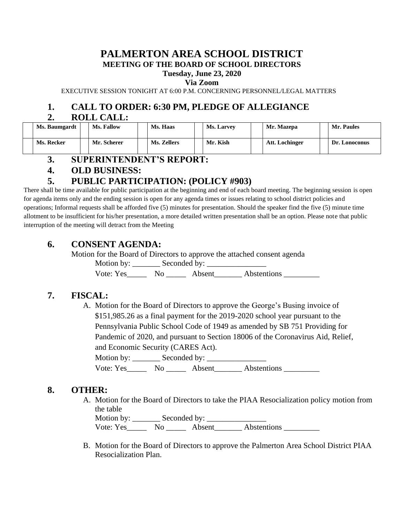#### **PALMERTON AREA SCHOOL DISTRICT MEETING OF THE BOARD OF SCHOOL DIRECTORS**

**Tuesday, June 23, 2020**

**Via Zoom**

EXECUTIVE SESSION TONIGHT AT 6:00 P.M. CONCERNING PERSONNEL/LEGAL MATTERS

## **1. CALL TO ORDER: 6:30 PM, PLEDGE OF ALLEGIANCE**

#### **2. ROLL CALL:**

| Ms. Baumgardt | <b>Ms. Fallow</b> | Ms. Haas    | <b>Ms. Larvey</b> | Mr. Mazepa     | Mr. Paules    |
|---------------|-------------------|-------------|-------------------|----------------|---------------|
| Ms. Recker    | Mr. Scherer       | Ms. Zellers | Mr. Kish          | Att. Lochinger | Dr. Lonoconus |

### **3. SUPERINTENDENT'S REPORT:**

### **4. OLD BUSINESS:**

## **5. PUBLIC PARTICIPATION: (POLICY #903)**

There shall be time available for public participation at the beginning and end of each board meeting. The beginning session is open for agenda items only and the ending session is open for any agenda times or issues relating to school district policies and operations; Informal requests shall be afforded five (5) minutes for presentation. Should the speaker find the five (5) minute time allotment to be insufficient for his/her presentation, a more detailed written presentation shall be an option. Please note that public interruption of the meeting will detract from the Meeting

## **6. CONSENT AGENDA:**

Motion for the Board of Directors to approve the attached consent agenda

Motion by: \_\_\_\_\_\_\_ Seconded by: \_\_\_\_\_\_\_\_\_\_\_\_\_\_\_

Vote: Yes\_\_\_\_\_\_\_ No \_\_\_\_\_\_\_ Absent\_\_\_\_\_\_\_\_ Abstentions \_\_\_\_\_\_\_\_\_\_\_

# **7. FISCAL:**

A. Motion for the Board of Directors to approve the George's Busing invoice of \$151,985.26 as a final payment for the 2019-2020 school year pursuant to the Pennsylvania Public School Code of 1949 as amended by SB 751 Providing for Pandemic of 2020, and pursuant to Section 18006 of the Coronavirus Aid, Relief, and Economic Security (CARES Act).

Motion by: \_\_\_\_\_\_\_ Seconded by: \_\_\_\_\_\_\_\_\_\_\_\_\_\_\_

Vote: Yes\_\_\_\_\_\_\_ No \_\_\_\_\_\_\_ Absent\_\_\_\_\_\_\_\_ Abstentions \_\_\_\_\_\_\_\_\_\_

## **8. OTHER:**

A. Motion for the Board of Directors to take the PIAA Resocialization policy motion from the table

Motion by: \_\_\_\_\_\_\_ Seconded by: \_\_\_\_\_\_\_\_\_\_\_\_\_\_\_ Vote: Yes\_\_\_\_\_\_\_ No \_\_\_\_\_\_ Absent\_\_\_\_\_\_\_ Abstentions \_\_\_\_\_\_\_\_\_\_

B. Motion for the Board of Directors to approve the Palmerton Area School District PIAA Resocialization Plan.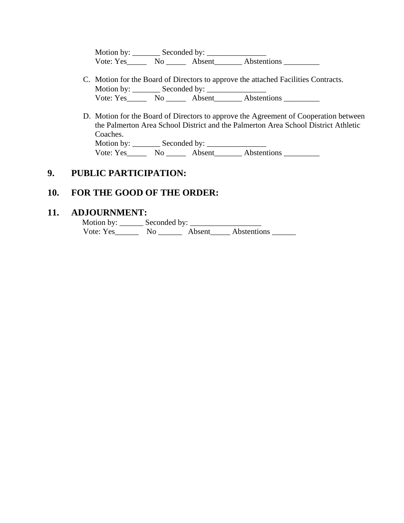Motion by: \_\_\_\_\_\_\_ Seconded by: \_\_\_\_\_\_\_\_\_\_\_\_\_\_\_ Vote: Yes\_\_\_\_\_\_\_ No \_\_\_\_\_\_ Absent\_\_\_\_\_\_\_\_ Abstentions \_\_\_\_\_\_\_\_\_\_

- C. Motion for the Board of Directors to approve the attached Facilities Contracts. Motion by: \_\_\_\_\_\_\_ Seconded by: \_\_\_\_\_\_\_\_\_\_\_\_\_\_\_ Vote: Yes\_\_\_\_\_\_\_\_ No \_\_\_\_\_\_\_ Absent\_\_\_\_\_\_\_\_\_ Abstentions \_\_\_\_\_\_\_\_\_\_\_\_\_\_\_\_\_\_\_\_\_\_\_
- D. Motion for the Board of Directors to approve the Agreement of Cooperation between the Palmerton Area School District and the Palmerton Area School District Athletic Coaches. Motion by: \_\_\_\_\_\_\_ Seconded by: \_\_\_\_\_\_\_\_\_\_\_\_\_\_\_ Vote: Yes\_\_\_\_\_\_\_ No \_\_\_\_\_\_ Absent\_\_\_\_\_\_\_\_ Abstentions \_\_\_\_\_\_\_\_\_\_

#### **9. PUBLIC PARTICIPATION:**

#### **10. FOR THE GOOD OF THE ORDER:**

#### **11. ADJOURNMENT:**

 Motion by: \_\_\_\_\_\_ Seconded by: \_\_\_\_\_\_\_\_\_\_\_\_\_\_\_\_\_\_ Vote: Yes\_\_\_\_\_\_ No \_\_\_\_\_\_ Absent\_\_\_\_\_ Abstentions \_\_\_\_\_\_